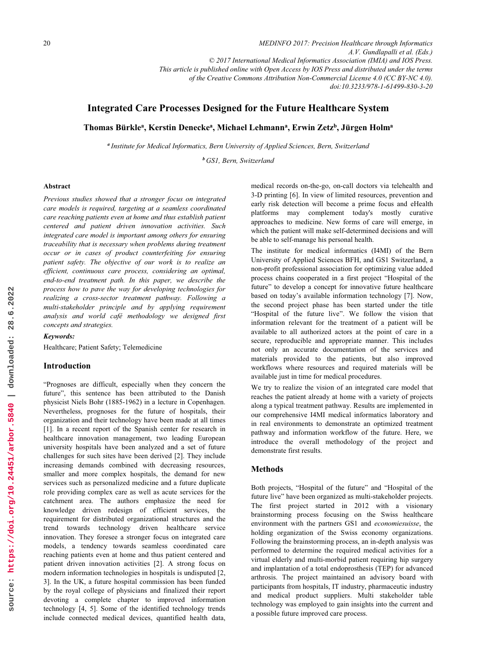*MEDINFO 2017: Precision Healthcare through Informatics A.V. Gundlapalli et al. (Eds.) © 2017 International Medical Informatics Association (IMIA) and IOS Press. This article is published online with Open Access by IOS Press and distributed under the terms of the Creative Commons Attribution Non-Commercial License 4.0 (CC BY-NC 4.0). doi:10.3233/978-1-61499-830-3-20*

# **Integrated Care Processes Designed for the Future Healthcare System**

Thomas Bürkle<sup>a</sup>, Kerstin Denecke<sup>a</sup>, Michael Lehmann<sup>a</sup>, Erwin Zetz<sup>b</sup>, Jürgen Holm<sup>a</sup>

*<sup>a</sup> Institute for Medical Informatics, Bern University of Applied Sciences, Bern, Switzerland* 

*<sup>b</sup> GS1, Bern, Switzerland*

### **Abstract**

*Previous studies showed that a stronger focus on integrated care models is required, targeting at a seamless coordinated care reaching patients even at home and thus establish patient centered and patient driven innovation activities. Such integrated care model is important among others for ensuring traceability that is necessary when problems during treatment occur or in cases of product counterfeiting for ensuring patient safety. The objective of our work is to realize an efficient, continuous care process, considering an optimal, end-to-end treatment path. In this paper, we describe the process how to pave the way for developing technologies for realizing a cross-sector treatment pathway. Following a multi-stakeholder principle and by applying requirement analysis and world café methodology we designed first concepts and strategies.*

#### *Keywords:*

Healthcare; Patient Safety; Telemedicine

#### **Introduction**

"Prognoses are difficult, especially when they concern the future", this sentence has been attributed to the Danish physicist Niels Bohr (1885-1962) in a lecture in Copenhagen. Nevertheless, prognoses for the future of hospitals, their organization and their technology have been made at all times [1]. In a recent report of the Spanish center for research in healthcare innovation management, two leading European university hospitals have been analyzed and a set of future challenges for such sites have been derived [2]. They include increasing demands combined with decreasing resources, smaller and more complex hospitals, the demand for new services such as personalized medicine and a future duplicate role providing complex care as well as acute services for the catchment area. The authors emphasize the need for knowledge driven redesign of efficient services, the requirement for distributed organizational structures and the trend towards technology driven healthcare service innovation. They foresee a stronger focus on integrated care models, a tendency towards seamless coordinated care reaching patients even at home and thus patient centered and patient driven innovation activities [2]. A strong focus on modern information technologies in hospitals is undisputed [2, 3]. In the UK, a future hospital commission has been funded by the royal college of physicians and finalized their report devoting a complete chapter to improved information technology [4, 5]. Some of the identified technology trends include connected medical devices, quantified health data,

medical records on-the-go, on-call doctors via telehealth and 3-D printing [6]. In view of limited resources, prevention and early risk detection will become a prime focus and eHealth platforms may complement today's mostly curative approaches to medicine. New forms of care will emerge, in which the patient will make self-determined decisions and will be able to self-manage his personal health.

The institute for medical informatics (I4MI) of the Bern University of Applied Sciences BFH, and GS1 Switzerland, a non-profit professional association for optimizing value added process chains cooperated in a first project "Hospital of the future" to develop a concept for innovative future healthcare based on today's available information technology [7]. Now, the second project phase has been started under the title "Hospital of the future live". We follow the vision that information relevant for the treatment of a patient will be available to all authorized actors at the point of care in a secure, reproducible and appropriate manner. This includes not only an accurate documentation of the services and materials provided to the patients, but also improved workflows where resources and required materials will be available just in time for medical procedures.

We try to realize the vision of an integrated care model that reaches the patient already at home with a variety of projects along a typical treatment pathway. Results are implemented in our comprehensive I4MI medical informatics laboratory and in real environments to demonstrate an optimized treatment pathway and information workflow of the future. Here, we introduce the overall methodology of the project and demonstrate first results.

### **Methods**

Both projects, "Hospital of the future" and "Hospital of the future live" have been organized as multi-stakeholder projects. The first project started in 2012 with a visionary brainstorming process focusing on the Swiss healthcare environment with the partners GS1 and *economiesuisse*, the holding organization of the Swiss economy organizations. Following the brainstorming process, an in-depth analysis was performed to determine the required medical activities for a virtual elderly and multi-morbid patient requiring hip surgery and implantation of a total endoprosthesis (TEP) for advanced arthrosis. The project maintained an advisory board with participants from hospitals, IT industry, pharmaceutic industry and medical product suppliers. Multi stakeholder table technology was employed to gain insights into the current and a possible future improved care process.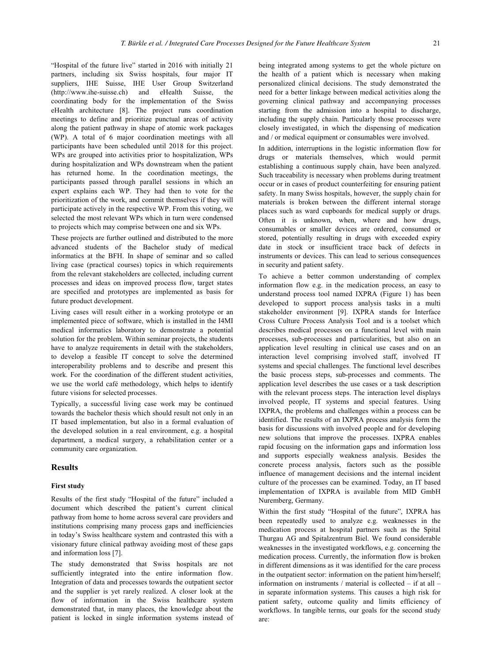"Hospital of the future live" started in 2016 with initially 21 partners, including six Swiss hospitals, four major IT suppliers, IHE Suisse, IHE User Group Switzerland (http://www.ihe-suisse.ch) and eHealth Suisse, the coordinating body for the implementation of the Swiss eHealth architecture [8]. The project runs coordination meetings to define and prioritize punctual areas of activity along the patient pathway in shape of atomic work packages (WP). A total of 6 major coordination meetings with all participants have been scheduled until 2018 for this project. WPs are grouped into activities prior to hospitalization, WPs during hospitalization and WPs downstream when the patient has returned home. In the coordination meetings, the participants passed through parallel sessions in which an expert explains each WP. They had then to vote for the prioritization of the work, and commit themselves if they will participate actively in the respective WP. From this voting, we selected the most relevant WPs which in turn were condensed to projects which may comprise between one and six WPs.

These projects are further outlined and distributed to the more advanced students of the Bachelor study of medical informatics at the BFH. In shape of seminar and so called living case (practical courses) topics in which requirements from the relevant stakeholders are collected, including current processes and ideas on improved process flow, target states are specified and prototypes are implemented as basis for future product development.

Living cases will result either in a working prototype or an implemented piece of software, which is installed in the I4MI medical informatics laboratory to demonstrate a potential solution for the problem. Within seminar projects, the students have to analyze requirements in detail with the stakeholders, to develop a feasible IT concept to solve the determined interoperability problems and to describe and present this work. For the coordination of the different student activities, we use the world café methodology, which helps to identify future visions for selected processes.

Typically, a successful living case work may be continued towards the bachelor thesis which should result not only in an IT based implementation, but also in a formal evaluation of the developed solution in a real environment, e.g. a hospital department, a medical surgery, a rehabilitation center or a community care organization.

# **Results**

#### **First study**

Results of the first study "Hospital of the future" included a document which described the patient's current clinical pathway from home to home across several care providers and institutions comprising many process gaps and inefficiencies in today's Swiss healthcare system and contrasted this with a visionary future clinical pathway avoiding most of these gaps and information loss [7].

The study demonstrated that Swiss hospitals are not sufficiently integrated into the entire information flow. Integration of data and processes towards the outpatient sector and the supplier is yet rarely realized. A closer look at the flow of information in the Swiss healthcare system demonstrated that, in many places, the knowledge about the patient is locked in single information systems instead of being integrated among systems to get the whole picture on the health of a patient which is necessary when making personalized clinical decisions. The study demonstrated the need for a better linkage between medical activities along the governing clinical pathway and accompanying processes starting from the admission into a hospital to discharge, including the supply chain. Particularly those processes were closely investigated, in which the dispensing of medication and / or medical equipment or consumables were involved.

In addition, interruptions in the logistic information flow for drugs or materials themselves, which would permit establishing a continuous supply chain, have been analyzed. Such traceability is necessary when problems during treatment occur or in cases of product counterfeiting for ensuring patient safety. In many Swiss hospitals, however, the supply chain for materials is broken between the different internal storage places such as ward cupboards for medical supply or drugs. Often it is unknown, when, where and how drugs, consumables or smaller devices are ordered, consumed or stored, potentially resulting in drugs with exceeded expiry date in stock or insufficient trace back of defects in instruments or devices. This can lead to serious consequences in security and patient safety.

To achieve a better common understanding of complex information flow e.g. in the medication process, an easy to understand process tool named IXPRA (Figure 1) has been developed to support process analysis tasks in a multi stakeholder environment [9]. IXPRA stands for Interface Cross Culture Process Analysis Tool and is a toolset which describes medical processes on a functional level with main processes, sub-processes and particularities, but also on an application level resulting in clinical use cases and on an interaction level comprising involved staff, involved IT systems and special challenges. The functional level describes the basic process steps, sub-processes and comments. The application level describes the use cases or a task description with the relevant process steps. The interaction level displays involved people, IT systems and special features. Using IXPRA, the problems and challenges within a process can be identified. The results of an IXPRA process analysis form the basis for discussions with involved people and for developing new solutions that improve the processes. IXPRA enables rapid focusing on the information gaps and information loss and supports especially weakness analysis. Besides the concrete process analysis, factors such as the possible influence of management decisions and the internal incident culture of the processes can be examined. Today, an IT based implementation of IXPRA is available from MID GmbH Nuremberg, Germany.

Within the first study "Hospital of the future", IXPRA has been repeatedly used to analyze e.g. weaknesses in the medication process at hospital partners such as the Spital Thurgau AG and Spitalzentrum Biel. We found considerable weaknesses in the investigated workflows, e.g. concerning the medication process. Currently, the information flow is broken in different dimensions as it was identified for the care process in the outpatient sector: information on the patient him/herself; information on instruments / material is collected – if at all – in separate information systems. This causes a high risk for patient safety, outcome quality and limits efficiency of workflows. In tangible terms, our goals for the second study are: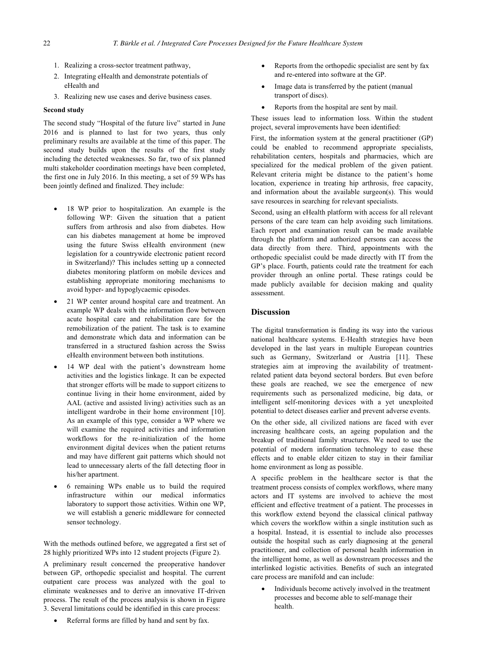- 1. Realizing a cross-sector treatment pathway,
- 2. Integrating eHealth and demonstrate potentials of eHealth and
- 3. Realizing new use cases and derive business cases.

### **Second study**

The second study "Hospital of the future live" started in June 2016 and is planned to last for two years, thus only preliminary results are available at the time of this paper. The second study builds upon the results of the first study including the detected weaknesses. So far, two of six planned multi stakeholder coordination meetings have been completed, the first one in July 2016. In this meeting, a set of 59 WPs has been jointly defined and finalized. They include:

- - 18 WP prior to hospitalization. An example is the following WP: Given the situation that a patient suffers from arthrosis and also from diabetes. How can his diabetes management at home be improved using the future Swiss eHealth environment (new legislation for a countrywide electronic patient record in Switzerland)? This includes setting up a connected diabetes monitoring platform on mobile devices and establishing appropriate monitoring mechanisms to avoid hyper- and hypoglycaemic episodes.
- - 21 WP center around hospital care and treatment. An example WP deals with the information flow between acute hospital care and rehabilitation care for the remobilization of the patient. The task is to examine and demonstrate which data and information can be transferred in a structured fashion across the Swiss eHealth environment between both institutions.
- - 14 WP deal with the patient's downstream home activities and the logistics linkage. It can be expected that stronger efforts will be made to support citizens to continue living in their home environment, aided by AAL (active and assisted living) activities such as an intelligent wardrobe in their home environment [10]. As an example of this type, consider a WP where we will examine the required activities and information workflows for the re-initialization of the home environment digital devices when the patient returns and may have different gait patterns which should not lead to unnecessary alerts of the fall detecting floor in his/her apartment.
- - 6 remaining WPs enable us to build the required infrastructure within our medical informatics laboratory to support those activities. Within one WP, we will establish a generic middleware for connected sensor technology.

With the methods outlined before, we aggregated a first set of 28 highly prioritized WPs into 12 student projects (Figure 2).

A preliminary result concerned the preoperative handover between GP, orthopedic specialist and hospital. The current outpatient care process was analyzed with the goal to eliminate weaknesses and to derive an innovative IT-driven process. The result of the process analysis is shown in Figure 3. Several limitations could be identified in this care process:

-Referral forms are filled by hand and sent by fax.

- $\bullet$  Reports from the orthopedic specialist are sent by fax and re-entered into software at the GP.
- - Image data is transferred by the patient (manual transport of discs).
- $\bullet$ Reports from the hospital are sent by mail.

These issues lead to information loss. Within the student project, several improvements have been identified:

First, the information system at the general practitioner (GP) could be enabled to recommend appropriate specialists, rehabilitation centers, hospitals and pharmacies, which are specialized for the medical problem of the given patient. Relevant criteria might be distance to the patient's home location, experience in treating hip arthrosis, free capacity, and information about the available surgeon(s). This would save resources in searching for relevant specialists.

Second, using an eHealth platform with access for all relevant persons of the care team can help avoiding such limitations. Each report and examination result can be made available through the platform and authorized persons can access the data directly from there. Third, appointments with the orthopedic specialist could be made directly with IT from the GP's place. Fourth, patients could rate the treatment for each provider through an online portal. These ratings could be made publicly available for decision making and quality assessment.

# **Discussion**

The digital transformation is finding its way into the various national healthcare systems. E-Health strategies have been developed in the last years in multiple European countries such as Germany, Switzerland or Austria [11]. These strategies aim at improving the availability of treatmentrelated patient data beyond sectoral borders. But even before these goals are reached, we see the emergence of new requirements such as personalized medicine, big data, or intelligent self-monitoring devices with a yet unexploited potential to detect diseases earlier and prevent adverse events. On the other side, all civilized nations are faced with ever increasing healthcare costs, an ageing population and the breakup of traditional family structures. We need to use the potential of modern information technology to ease these effects and to enable elder citizen to stay in their familiar home environment as long as possible.

A specific problem in the healthcare sector is that the treatment process consists of complex workflows, where many actors and IT systems are involved to achieve the most efficient and effective treatment of a patient. The processes in this workflow extend beyond the classical clinical pathway which covers the workflow within a single institution such as a hospital. Instead, it is essential to include also processes outside the hospital such as early diagnosing at the general practitioner, and collection of personal health information in the intelligent home, as well as downstream processes and the interlinked logistic activities. Benefits of such an integrated care process are manifold and can include:

- Individuals become actively involved in the treatment processes and become able to self-manage their health.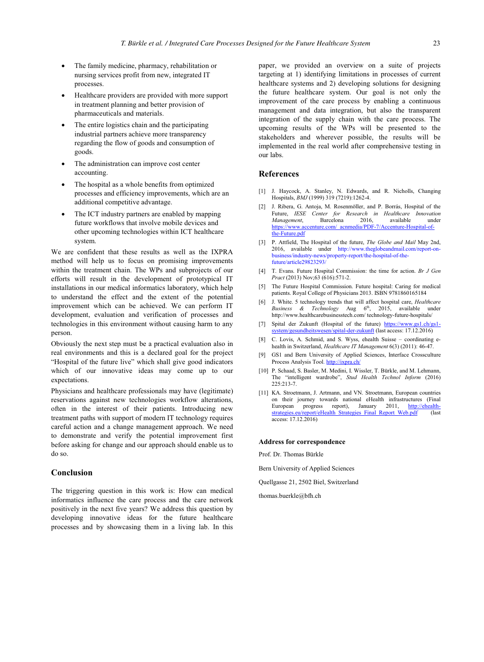- - The family medicine, pharmacy, rehabilitation or nursing services profit from new, integrated IT processes.
- - Healthcare providers are provided with more support in treatment planning and better provision of pharmaceuticals and materials.
- - The entire logistics chain and the participating industrial partners achieve more transparency regarding the flow of goods and consumption of goods.
- - The administration can improve cost center accounting.
- - The hospital as a whole benefits from optimized processes and efficiency improvements, which are an additional competitive advantage.
- - The ICT industry partners are enabled by mapping future workflows that involve mobile devices and other upcoming technologies within ICT healthcare system.

We are confident that these results as well as the IXPRA method will help us to focus on promising improvements within the treatment chain. The WPs and subprojects of our efforts will result in the development of prototypical IT installations in our medical informatics laboratory, which help to understand the effect and the extent of the potential improvement which can be achieved. We can perform IT development, evaluation and verification of processes and technologies in this environment without causing harm to any person.

Obviously the next step must be a practical evaluation also in real environments and this is a declared goal for the project "Hospital of the future live" which shall give good indicators which of our innovative ideas may come up to our expectations.

Physicians and healthcare professionals may have (legitimate) reservations against new technologies workflow alterations, often in the interest of their patients. Introducing new treatment paths with support of modern IT technology requires careful action and a change management approach. We need to demonstrate and verify the potential improvement first before asking for change and our approach should enable us to do so.

# **Conclusion**

The triggering question in this work is: How can medical informatics influence the care process and the care network positively in the next five years? We address this question by developing innovative ideas for the future healthcare processes and by showcasing them in a living lab. In this paper, we provided an overview on a suite of projects targeting at 1) identifying limitations in processes of current healthcare systems and 2) developing solutions for designing the future healthcare system. Our goal is not only the improvement of the care process by enabling a continuous management and data integration, but also the transparent integration of the supply chain with the care process. The [upcoming results of the WPs will be presented to the](https://www.accenture.com/_acnmedia/PDF-7/Accenture-Hospital-of-the-Future.pdf)  [stakeholders an](https://www.accenture.com/_acnmedia/PDF-7/Accenture-Hospital-of-the-Future.pdf)d wherever possible, the results will be implemented in the real world after comprehensive testing in [our labs.](http://www.theglobeandmail.com/report-on-business/industry-news/property-report/the-hospital-of-the-future/article29823293/)

# **[References](http://www.theglobeandmail.com/report-on-business/industry-news/property-report/the-hospital-of-the-future/article29823293/)**

- [1] J. Haycock, A. Stanley, N. Edwards, and R. Nicholls, Changing Hospitals, *BMJ* (1999) 319 (7219):1262-4.
- [2] J. Ribera, G. Antoja, M. Rosenmöller, and P. Borrás, Hospital of the Future, *IESE Center for Research in Healthcare Innovation Management*, Barcelona 2016, available under https://www.accenture.com/\_acnmedia/PDF-7/[Accenture-Hospital-of](https://www.gs1.ch/gs1-system/gesundheitswesen/spital-der-zukunft)the-Future.pdf
- [\[3\] P. Attfield, The Hospital of the future,](https://www.gs1.ch/gs1-system/gesundheitswesen/spital-der-zukunft) *The Globe and Mail* May 2nd, 2016, available under http://www.theglobeandmail.com/report-on-business/industry-news/property-report/the-hospital-of-the-future/article29823293/
- [4] T. Evans. Future Hos[pital Commissio](http://ixpra.ch/)n: the time for action. *Br J Gen Pract* (2013) Nov;63 (616):571-2.
- [5] The Future Hospital Commission. Future hospital: Caring for medical patients. Royal College of Physicians 2013. ISBN 9781860165184
- [6] J. White. 5 technology trends that will affect hospital care, *Healthcare Business & Technology* Aug 6<sup>th</sup>, 2015, av[ailable under](http://ehealth-strategies.eu/report/eHealth_Strategies_Final_Report_Web.pdf) [http://www.healthcarebusinesstech.com/ technology-future-hosp](http://ehealth-strategies.eu/report/eHealth_Strategies_Final_Report_Web.pdf)itals/
- [7] Spital der Zukunft (Hospital of the future) https://www.gs1.ch/gs1 system/gesundheitswesen/spital-der-zukunft (last access: 17.12.2016)
- [8] C. Lovis, A. Schmid, and S. Wyss, ehealth Suisse coordinating ehealth in Switzerland, *Healthcare IT Management* 6(3) (2011): 46-47.
- [9] GS1 and Bern University of Applied Sciences, Interface Crossculture Process Analysis Tool. http://ixpra.ch/
- [10] P. Schaad, S. Basler, M. Medini, I. Wissler, T. Bürkle, and M. Lehmann, The "intelligent wardrobe", *Stud Health Technol Inform* (2016) 225:213-7.
- [11] KA. Stroetmann, J. Artmann, and VN. Stroetmann, European countries on their journey towards national eHealth infrastructures (Final European progress report), January 2011, http://ehealth-European progress report), January 2011, http://ehealth-<br>strategies.eu/report/eHealth\_Strategies\_Final\_Report\_Web.pdf (last access: 17.12.2016)

#### **Address for correspondence**

Prof. Dr. Thomas Bürkle

Bern University of Applied Sciences

Quellgasse 21, 2502 Biel, Switzerland

thomas.buerkle@bfh.ch